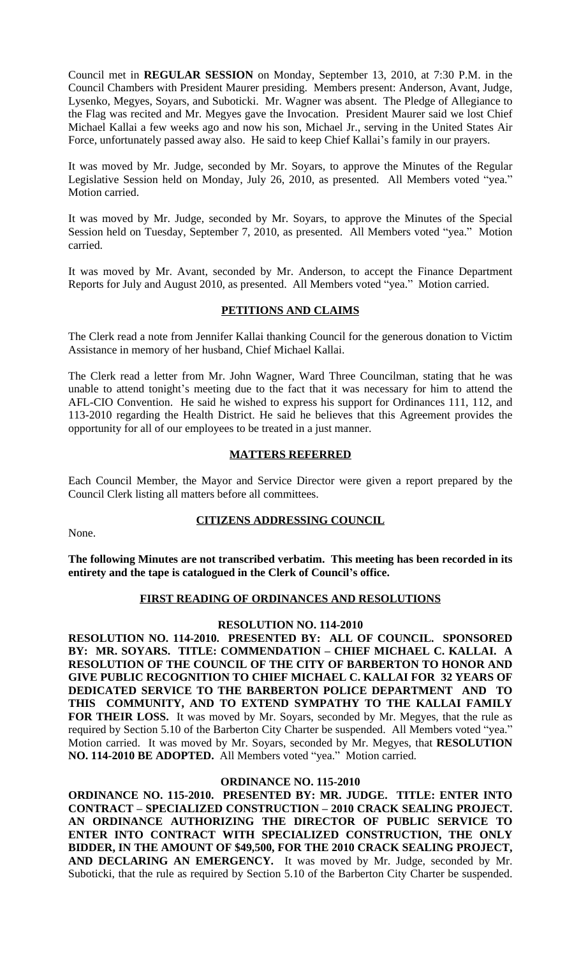Council met in **REGULAR SESSION** on Monday, September 13, 2010, at 7:30 P.M. in the Council Chambers with President Maurer presiding. Members present: Anderson, Avant, Judge, Lysenko, Megyes, Soyars, and Suboticki. Mr. Wagner was absent. The Pledge of Allegiance to the Flag was recited and Mr. Megyes gave the Invocation. President Maurer said we lost Chief Michael Kallai a few weeks ago and now his son, Michael Jr., serving in the United States Air Force, unfortunately passed away also. He said to keep Chief Kallai's family in our prayers.

It was moved by Mr. Judge, seconded by Mr. Soyars, to approve the Minutes of the Regular Legislative Session held on Monday, July 26, 2010, as presented. All Members voted "yea." Motion carried.

It was moved by Mr. Judge, seconded by Mr. Soyars, to approve the Minutes of the Special Session held on Tuesday, September 7, 2010, as presented. All Members voted "yea." Motion carried.

It was moved by Mr. Avant, seconded by Mr. Anderson, to accept the Finance Department Reports for July and August 2010, as presented. All Members voted "yea." Motion carried.

## **PETITIONS AND CLAIMS**

The Clerk read a note from Jennifer Kallai thanking Council for the generous donation to Victim Assistance in memory of her husband, Chief Michael Kallai.

The Clerk read a letter from Mr. John Wagner, Ward Three Councilman, stating that he was unable to attend tonight's meeting due to the fact that it was necessary for him to attend the AFL-CIO Convention. He said he wished to express his support for Ordinances 111, 112, and 113-2010 regarding the Health District. He said he believes that this Agreement provides the opportunity for all of our employees to be treated in a just manner.

## **MATTERS REFERRED**

Each Council Member, the Mayor and Service Director were given a report prepared by the Council Clerk listing all matters before all committees.

## **CITIZENS ADDRESSING COUNCIL**

None.

**The following Minutes are not transcribed verbatim. This meeting has been recorded in its entirety and the tape is catalogued in the Clerk of Council's office.**

# **FIRST READING OF ORDINANCES AND RESOLUTIONS**

## **RESOLUTION NO. 114-2010**

**RESOLUTION NO. 114-2010. PRESENTED BY: ALL OF COUNCIL. SPONSORED BY: MR. SOYARS. TITLE: COMMENDATION – CHIEF MICHAEL C. KALLAI. A RESOLUTION OF THE COUNCIL OF THE CITY OF BARBERTON TO HONOR AND GIVE PUBLIC RECOGNITION TO CHIEF MICHAEL C. KALLAI FOR 32 YEARS OF DEDICATED SERVICE TO THE BARBERTON POLICE DEPARTMENT AND TO THIS COMMUNITY, AND TO EXTEND SYMPATHY TO THE KALLAI FAMILY FOR THEIR LOSS.** It was moved by Mr. Soyars, seconded by Mr. Megyes, that the rule as required by Section 5.10 of the Barberton City Charter be suspended. All Members voted "yea." Motion carried. It was moved by Mr. Soyars, seconded by Mr. Megyes, that **RESOLUTION NO. 114-2010 BE ADOPTED.** All Members voted "yea." Motion carried.

## **ORDINANCE NO. 115-2010**

**ORDINANCE NO. 115-2010. PRESENTED BY: MR. JUDGE. TITLE: ENTER INTO CONTRACT – SPECIALIZED CONSTRUCTION – 2010 CRACK SEALING PROJECT. AN ORDINANCE AUTHORIZING THE DIRECTOR OF PUBLIC SERVICE TO ENTER INTO CONTRACT WITH SPECIALIZED CONSTRUCTION, THE ONLY BIDDER, IN THE AMOUNT OF \$49,500, FOR THE 2010 CRACK SEALING PROJECT, AND DECLARING AN EMERGENCY.** It was moved by Mr. Judge, seconded by Mr. Suboticki, that the rule as required by Section 5.10 of the Barberton City Charter be suspended.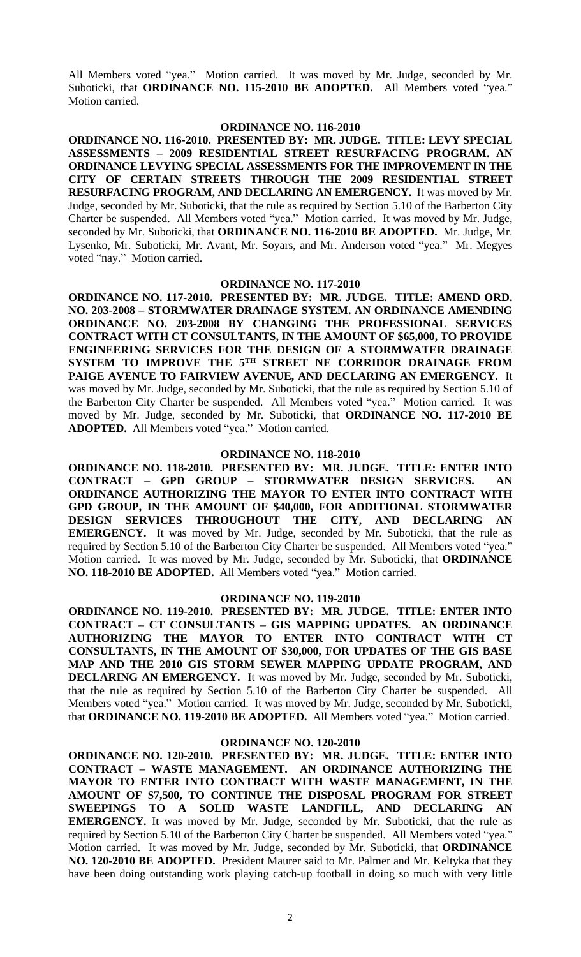All Members voted "yea." Motion carried. It was moved by Mr. Judge, seconded by Mr. Suboticki, that **ORDINANCE NO. 115-2010 BE ADOPTED.** All Members voted "yea." Motion carried.

## **ORDINANCE NO. 116-2010**

**ORDINANCE NO. 116-2010. PRESENTED BY: MR. JUDGE. TITLE: LEVY SPECIAL ASSESSMENTS – 2009 RESIDENTIAL STREET RESURFACING PROGRAM. AN ORDINANCE LEVYING SPECIAL ASSESSMENTS FOR THE IMPROVEMENT IN THE CITY OF CERTAIN STREETS THROUGH THE 2009 RESIDENTIAL STREET RESURFACING PROGRAM, AND DECLARING AN EMERGENCY.** It was moved by Mr. Judge, seconded by Mr. Suboticki, that the rule as required by Section 5.10 of the Barberton City Charter be suspended. All Members voted "yea." Motion carried. It was moved by Mr. Judge, seconded by Mr. Suboticki, that **ORDINANCE NO. 116-2010 BE ADOPTED.** Mr. Judge, Mr. Lysenko, Mr. Suboticki, Mr. Avant, Mr. Soyars, and Mr. Anderson voted "yea." Mr. Megyes voted "nay." Motion carried.

## **ORDINANCE NO. 117-2010**

**ORDINANCE NO. 117-2010. PRESENTED BY: MR. JUDGE. TITLE: AMEND ORD. NO. 203-2008 – STORMWATER DRAINAGE SYSTEM. AN ORDINANCE AMENDING ORDINANCE NO. 203-2008 BY CHANGING THE PROFESSIONAL SERVICES CONTRACT WITH CT CONSULTANTS, IN THE AMOUNT OF \$65,000, TO PROVIDE ENGINEERING SERVICES FOR THE DESIGN OF A STORMWATER DRAINAGE SYSTEM TO IMPROVE THE 5 TH STREET NE CORRIDOR DRAINAGE FROM PAIGE AVENUE TO FAIRVIEW AVENUE, AND DECLARING AN EMERGENCY.** It was moved by Mr. Judge, seconded by Mr. Suboticki, that the rule as required by Section 5.10 of the Barberton City Charter be suspended. All Members voted "yea." Motion carried. It was moved by Mr. Judge, seconded by Mr. Suboticki, that **ORDINANCE NO. 117-2010 BE ADOPTED.** All Members voted "yea." Motion carried.

### **ORDINANCE NO. 118-2010**

**ORDINANCE NO. 118-2010. PRESENTED BY: MR. JUDGE. TITLE: ENTER INTO CONTRACT – GPD GROUP – STORMWATER DESIGN SERVICES. AN ORDINANCE AUTHORIZING THE MAYOR TO ENTER INTO CONTRACT WITH GPD GROUP, IN THE AMOUNT OF \$40,000, FOR ADDITIONAL STORMWATER DESIGN SERVICES THROUGHOUT THE CITY, AND DECLARING AN EMERGENCY.** It was moved by Mr. Judge, seconded by Mr. Suboticki, that the rule as required by Section 5.10 of the Barberton City Charter be suspended. All Members voted "yea." Motion carried. It was moved by Mr. Judge, seconded by Mr. Suboticki, that **ORDINANCE NO. 118-2010 BE ADOPTED.** All Members voted "yea." Motion carried.

## **ORDINANCE NO. 119-2010**

**ORDINANCE NO. 119-2010. PRESENTED BY: MR. JUDGE. TITLE: ENTER INTO CONTRACT – CT CONSULTANTS – GIS MAPPING UPDATES. AN ORDINANCE AUTHORIZING THE MAYOR TO ENTER INTO CONTRACT WITH CT CONSULTANTS, IN THE AMOUNT OF \$30,000, FOR UPDATES OF THE GIS BASE MAP AND THE 2010 GIS STORM SEWER MAPPING UPDATE PROGRAM, AND DECLARING AN EMERGENCY.** It was moved by Mr. Judge, seconded by Mr. Suboticki, that the rule as required by Section 5.10 of the Barberton City Charter be suspended. All Members voted "yea." Motion carried. It was moved by Mr. Judge, seconded by Mr. Suboticki, that **ORDINANCE NO. 119-2010 BE ADOPTED.** All Members voted "yea." Motion carried.

## **ORDINANCE NO. 120-2010**

**ORDINANCE NO. 120-2010. PRESENTED BY: MR. JUDGE. TITLE: ENTER INTO CONTRACT – WASTE MANAGEMENT. AN ORDINANCE AUTHORIZING THE MAYOR TO ENTER INTO CONTRACT WITH WASTE MANAGEMENT, IN THE AMOUNT OF \$7,500, TO CONTINUE THE DISPOSAL PROGRAM FOR STREET SWEEPINGS TO A SOLID WASTE LANDFILL, AND DECLARING AN EMERGENCY.** It was moved by Mr. Judge, seconded by Mr. Suboticki, that the rule as required by Section 5.10 of the Barberton City Charter be suspended. All Members voted "yea." Motion carried. It was moved by Mr. Judge, seconded by Mr. Suboticki, that **ORDINANCE NO. 120-2010 BE ADOPTED.** President Maurer said to Mr. Palmer and Mr. Keltyka that they have been doing outstanding work playing catch-up football in doing so much with very little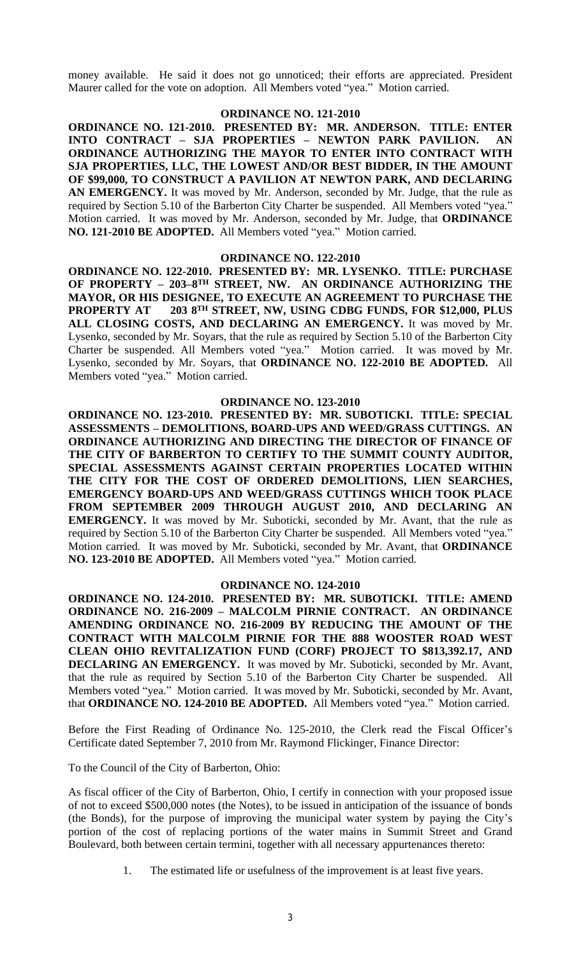money available. He said it does not go unnoticed; their efforts are appreciated. President Maurer called for the vote on adoption. All Members voted "yea." Motion carried.

## **ORDINANCE NO. 121-2010**

**ORDINANCE NO. 121-2010. PRESENTED BY: MR. ANDERSON. TITLE: ENTER INTO CONTRACT – SJA PROPERTIES – NEWTON PARK PAVILION. AN ORDINANCE AUTHORIZING THE MAYOR TO ENTER INTO CONTRACT WITH SJA PROPERTIES, LLC, THE LOWEST AND/OR BEST BIDDER, IN THE AMOUNT OF \$99,000, TO CONSTRUCT A PAVILION AT NEWTON PARK, AND DECLARING AN EMERGENCY.** It was moved by Mr. Anderson, seconded by Mr. Judge, that the rule as required by Section 5.10 of the Barberton City Charter be suspended. All Members voted "yea." Motion carried. It was moved by Mr. Anderson, seconded by Mr. Judge, that **ORDINANCE NO. 121-2010 BE ADOPTED.** All Members voted "yea." Motion carried.

### **ORDINANCE NO. 122-2010**

**ORDINANCE NO. 122-2010. PRESENTED BY: MR. LYSENKO. TITLE: PURCHASE OF PROPERTY – 203–8 TH STREET, NW. AN ORDINANCE AUTHORIZING THE MAYOR, OR HIS DESIGNEE, TO EXECUTE AN AGREEMENT TO PURCHASE THE PROPERTY AT TH STREET, NW, USING CDBG FUNDS, FOR \$12,000, PLUS ALL CLOSING COSTS, AND DECLARING AN EMERGENCY.** It was moved by Mr. Lysenko, seconded by Mr. Soyars, that the rule as required by Section 5.10 of the Barberton City Charter be suspended. All Members voted "yea." Motion carried. It was moved by Mr. Lysenko, seconded by Mr. Soyars, that **ORDINANCE NO. 122-2010 BE ADOPTED.** All Members voted "yea." Motion carried.

## **ORDINANCE NO. 123-2010**

**ORDINANCE NO. 123-2010. PRESENTED BY: MR. SUBOTICKI. TITLE: SPECIAL ASSESSMENTS – DEMOLITIONS, BOARD-UPS AND WEED/GRASS CUTTINGS. AN ORDINANCE AUTHORIZING AND DIRECTING THE DIRECTOR OF FINANCE OF THE CITY OF BARBERTON TO CERTIFY TO THE SUMMIT COUNTY AUDITOR, SPECIAL ASSESSMENTS AGAINST CERTAIN PROPERTIES LOCATED WITHIN THE CITY FOR THE COST OF ORDERED DEMOLITIONS, LIEN SEARCHES, EMERGENCY BOARD-UPS AND WEED/GRASS CUTTINGS WHICH TOOK PLACE FROM SEPTEMBER 2009 THROUGH AUGUST 2010, AND DECLARING AN EMERGENCY.** It was moved by Mr. Suboticki, seconded by Mr. Avant, that the rule as required by Section 5.10 of the Barberton City Charter be suspended. All Members voted "yea." Motion carried. It was moved by Mr. Suboticki, seconded by Mr. Avant, that **ORDINANCE NO. 123-2010 BE ADOPTED.** All Members voted "yea." Motion carried.

## **ORDINANCE NO. 124-2010**

**ORDINANCE NO. 124-2010. PRESENTED BY: MR. SUBOTICKI. TITLE: AMEND ORDINANCE NO. 216-2009 – MALCOLM PIRNIE CONTRACT. AN ORDINANCE AMENDING ORDINANCE NO. 216-2009 BY REDUCING THE AMOUNT OF THE CONTRACT WITH MALCOLM PIRNIE FOR THE 888 WOOSTER ROAD WEST CLEAN OHIO REVITALIZATION FUND (CORF) PROJECT TO \$813,392.17, AND DECLARING AN EMERGENCY.** It was moved by Mr. Suboticki, seconded by Mr. Avant, that the rule as required by Section 5.10 of the Barberton City Charter be suspended. All Members voted "yea." Motion carried. It was moved by Mr. Suboticki, seconded by Mr. Avant, that **ORDINANCE NO. 124-2010 BE ADOPTED.** All Members voted "yea." Motion carried.

Before the First Reading of Ordinance No. 125-2010, the Clerk read the Fiscal Officer's Certificate dated September 7, 2010 from Mr. Raymond Flickinger, Finance Director:

To the Council of the City of Barberton, Ohio:

As fiscal officer of the City of Barberton, Ohio, I certify in connection with your proposed issue of not to exceed \$500,000 notes (the Notes), to be issued in anticipation of the issuance of bonds (the Bonds), for the purpose of improving the municipal water system by paying the City's portion of the cost of replacing portions of the water mains in Summit Street and Grand Boulevard, both between certain termini, together with all necessary appurtenances thereto:

1. The estimated life or usefulness of the improvement is at least five years.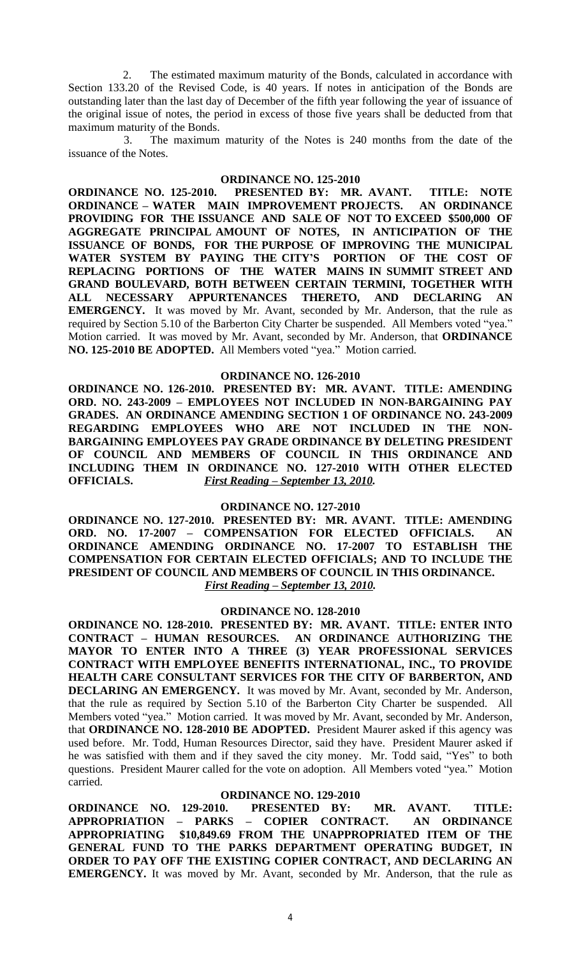2. The estimated maximum maturity of the Bonds, calculated in accordance with Section 133.20 of the Revised Code, is 40 years. If notes in anticipation of the Bonds are outstanding later than the last day of December of the fifth year following the year of issuance of the original issue of notes, the period in excess of those five years shall be deducted from that maximum maturity of the Bonds.

3. The maximum maturity of the Notes is 240 months from the date of the issuance of the Notes.

## **ORDINANCE NO. 125-2010**

**ORDINANCE NO. 125-2010. PRESENTED BY: MR. AVANT. TITLE: NOTE ORDINANCE – WATER MAIN IMPROVEMENT PROJECTS. AN ORDINANCE PROVIDING FOR THE ISSUANCE AND SALE OF NOT TO EXCEED \$500,000 OF AGGREGATE PRINCIPAL AMOUNT OF NOTES, IN ANTICIPATION OF THE ISSUANCE OF BONDS, FOR THE PURPOSE OF IMPROVING THE MUNICIPAL WATER SYSTEM BY PAYING THE CITY'S PORTION OF THE COST OF REPLACING PORTIONS OF THE WATER MAINS IN SUMMIT STREET AND GRAND BOULEVARD, BOTH BETWEEN CERTAIN TERMINI, TOGETHER WITH ALL NECESSARY APPURTENANCES THERETO, AND DECLARING AN EMERGENCY.** It was moved by Mr. Avant, seconded by Mr. Anderson, that the rule as required by Section 5.10 of the Barberton City Charter be suspended. All Members voted "yea." Motion carried. It was moved by Mr. Avant, seconded by Mr. Anderson, that **ORDINANCE NO. 125-2010 BE ADOPTED.** All Members voted "yea." Motion carried.

## **ORDINANCE NO. 126-2010**

**ORDINANCE NO. 126-2010. PRESENTED BY: MR. AVANT. TITLE: AMENDING ORD. NO. 243-2009 – EMPLOYEES NOT INCLUDED IN NON-BARGAINING PAY GRADES. AN ORDINANCE AMENDING SECTION 1 OF ORDINANCE NO. 243-2009 REGARDING EMPLOYEES WHO ARE NOT INCLUDED IN THE NON-BARGAINING EMPLOYEES PAY GRADE ORDINANCE BY DELETING PRESIDENT OF COUNCIL AND MEMBERS OF COUNCIL IN THIS ORDINANCE AND INCLUDING THEM IN ORDINANCE NO. 127-2010 WITH OTHER ELECTED OFFICIALS.** *First Reading – September 13, 2010.*

## **ORDINANCE NO. 127-2010**

**ORDINANCE NO. 127-2010. PRESENTED BY: MR. AVANT. TITLE: AMENDING ORD. NO. 17-2007 – COMPENSATION FOR ELECTED OFFICIALS. AN ORDINANCE AMENDING ORDINANCE NO. 17-2007 TO ESTABLISH THE COMPENSATION FOR CERTAIN ELECTED OFFICIALS; AND TO INCLUDE THE PRESIDENT OF COUNCIL AND MEMBERS OF COUNCIL IN THIS ORDINANCE.** *First Reading – September 13, 2010.*

#### **ORDINANCE NO. 128-2010**

**ORDINANCE NO. 128-2010. PRESENTED BY: MR. AVANT. TITLE: ENTER INTO CONTRACT – HUMAN RESOURCES. AN ORDINANCE AUTHORIZING THE MAYOR TO ENTER INTO A THREE (3) YEAR PROFESSIONAL SERVICES CONTRACT WITH EMPLOYEE BENEFITS INTERNATIONAL, INC., TO PROVIDE HEALTH CARE CONSULTANT SERVICES FOR THE CITY OF BARBERTON, AND DECLARING AN EMERGENCY.** It was moved by Mr. Avant, seconded by Mr. Anderson, that the rule as required by Section 5.10 of the Barberton City Charter be suspended. All Members voted "yea." Motion carried. It was moved by Mr. Avant, seconded by Mr. Anderson, that **ORDINANCE NO. 128-2010 BE ADOPTED.** President Maurer asked if this agency was used before. Mr. Todd, Human Resources Director, said they have. President Maurer asked if he was satisfied with them and if they saved the city money. Mr. Todd said, "Yes" to both questions. President Maurer called for the vote on adoption. All Members voted "yea." Motion carried.

## **ORDINANCE NO. 129-2010**

**ORDINANCE NO. 129-2010. PRESENTED BY: MR. AVANT. TITLE: APPROPRIATION – PARKS – COPIER CONTRACT. AN ORDINANCE APPROPRIATING \$10,849.69 FROM THE UNAPPROPRIATED ITEM OF THE GENERAL FUND TO THE PARKS DEPARTMENT OPERATING BUDGET, IN ORDER TO PAY OFF THE EXISTING COPIER CONTRACT, AND DECLARING AN EMERGENCY.** It was moved by Mr. Avant, seconded by Mr. Anderson, that the rule as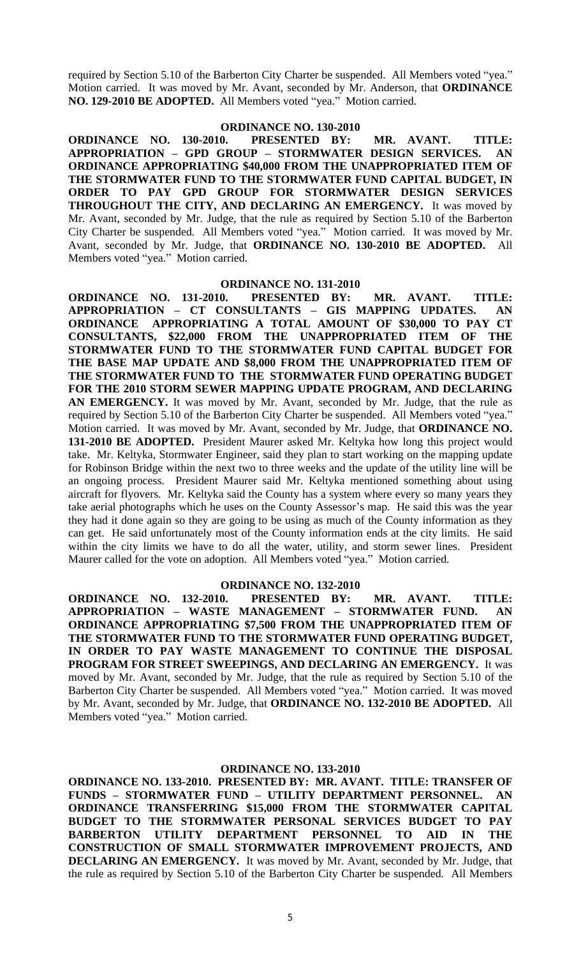required by Section 5.10 of the Barberton City Charter be suspended. All Members voted "yea." Motion carried. It was moved by Mr. Avant, seconded by Mr. Anderson, that **ORDINANCE NO. 129-2010 BE ADOPTED.** All Members voted "yea." Motion carried.

## **ORDINANCE NO. 130-2010**

**ORDINANCE NO. 130-2010. PRESENTED BY: MR. AVANT. TITLE: APPROPRIATION – GPD GROUP – STORMWATER DESIGN SERVICES. AN ORDINANCE APPROPRIATING \$40,000 FROM THE UNAPPROPRIATED ITEM OF THE STORMWATER FUND TO THE STORMWATER FUND CAPITAL BUDGET, IN ORDER TO PAY GPD GROUP FOR STORMWATER DESIGN SERVICES THROUGHOUT THE CITY, AND DECLARING AN EMERGENCY.** It was moved by Mr. Avant, seconded by Mr. Judge, that the rule as required by Section 5.10 of the Barberton City Charter be suspended. All Members voted "yea." Motion carried. It was moved by Mr. Avant, seconded by Mr. Judge, that **ORDINANCE NO. 130-2010 BE ADOPTED.** All Members voted "yea." Motion carried.

### **ORDINANCE NO. 131-2010**

**ORDINANCE NO. 131-2010. PRESENTED BY: MR. AVANT. TITLE: APPROPRIATION – CT CONSULTANTS – GIS MAPPING UPDATES. AN ORDINANCE APPROPRIATING A TOTAL AMOUNT OF \$30,000 TO PAY CT CONSULTANTS, \$22,000 FROM THE UNAPPROPRIATED ITEM OF THE STORMWATER FUND TO THE STORMWATER FUND CAPITAL BUDGET FOR THE BASE MAP UPDATE AND \$8,000 FROM THE UNAPPROPRIATED ITEM OF THE STORMWATER FUND TO THE STORMWATER FUND OPERATING BUDGET FOR THE 2010 STORM SEWER MAPPING UPDATE PROGRAM, AND DECLARING AN EMERGENCY.** It was moved by Mr. Avant, seconded by Mr. Judge, that the rule as required by Section 5.10 of the Barberton City Charter be suspended. All Members voted "yea." Motion carried. It was moved by Mr. Avant, seconded by Mr. Judge, that **ORDINANCE NO. 131-2010 BE ADOPTED.** President Maurer asked Mr. Keltyka how long this project would take. Mr. Keltyka, Stormwater Engineer, said they plan to start working on the mapping update for Robinson Bridge within the next two to three weeks and the update of the utility line will be an ongoing process. President Maurer said Mr. Keltyka mentioned something about using aircraft for flyovers. Mr. Keltyka said the County has a system where every so many years they take aerial photographs which he uses on the County Assessor's map. He said this was the year they had it done again so they are going to be using as much of the County information as they can get. He said unfortunately most of the County information ends at the city limits. He said within the city limits we have to do all the water, utility, and storm sewer lines. President Maurer called for the vote on adoption. All Members voted "yea." Motion carried.

## **ORDINANCE NO. 132-2010**

**ORDINANCE NO. 132-2010. PRESENTED BY: MR. AVANT. TITLE: APPROPRIATION – WASTE MANAGEMENT – STORMWATER FUND. AN ORDINANCE APPROPRIATING \$7,500 FROM THE UNAPPROPRIATED ITEM OF THE STORMWATER FUND TO THE STORMWATER FUND OPERATING BUDGET, IN ORDER TO PAY WASTE MANAGEMENT TO CONTINUE THE DISPOSAL PROGRAM FOR STREET SWEEPINGS, AND DECLARING AN EMERGENCY.** It was moved by Mr. Avant, seconded by Mr. Judge, that the rule as required by Section 5.10 of the Barberton City Charter be suspended. All Members voted "yea." Motion carried. It was moved by Mr. Avant, seconded by Mr. Judge, that **ORDINANCE NO. 132-2010 BE ADOPTED.** All Members voted "yea." Motion carried.

## **ORDINANCE NO. 133-2010**

**ORDINANCE NO. 133-2010. PRESENTED BY: MR. AVANT. TITLE: TRANSFER OF FUNDS – STORMWATER FUND – UTILITY DEPARTMENT PERSONNEL. AN ORDINANCE TRANSFERRING \$15,000 FROM THE STORMWATER CAPITAL BUDGET TO THE STORMWATER PERSONAL SERVICES BUDGET TO PAY BARBERTON UTILITY DEPARTMENT PERSONNEL TO AID IN THE CONSTRUCTION OF SMALL STORMWATER IMPROVEMENT PROJECTS, AND DECLARING AN EMERGENCY.** It was moved by Mr. Avant, seconded by Mr. Judge, that the rule as required by Section 5.10 of the Barberton City Charter be suspended. All Members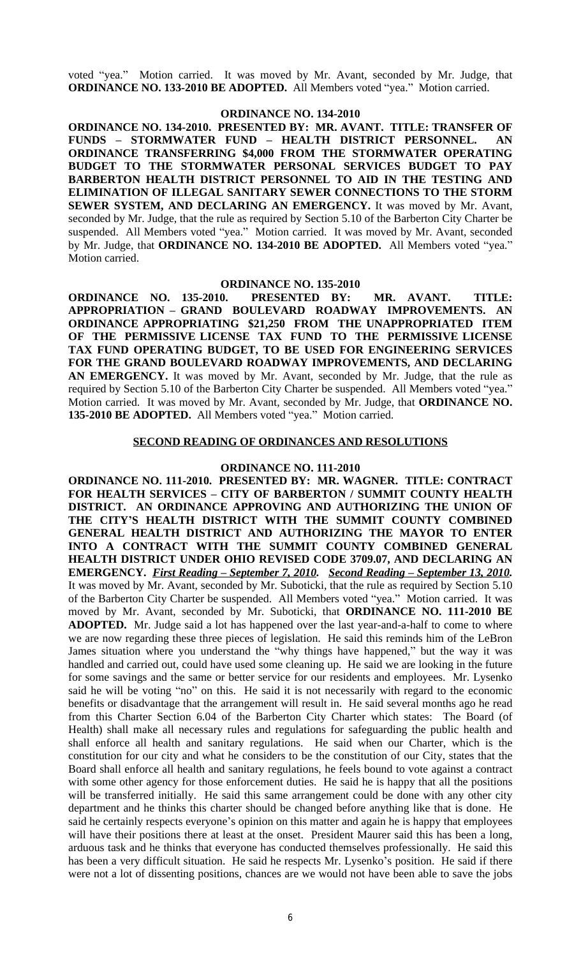voted "yea." Motion carried. It was moved by Mr. Avant, seconded by Mr. Judge, that **ORDINANCE NO. 133-2010 BE ADOPTED.** All Members voted "yea." Motion carried.

## **ORDINANCE NO. 134-2010**

**ORDINANCE NO. 134-2010. PRESENTED BY: MR. AVANT. TITLE: TRANSFER OF FUNDS – STORMWATER FUND – HEALTH DISTRICT PERSONNEL. AN ORDINANCE TRANSFERRING \$4,000 FROM THE STORMWATER OPERATING BUDGET TO THE STORMWATER PERSONAL SERVICES BUDGET TO PAY BARBERTON HEALTH DISTRICT PERSONNEL TO AID IN THE TESTING AND ELIMINATION OF ILLEGAL SANITARY SEWER CONNECTIONS TO THE STORM SEWER SYSTEM, AND DECLARING AN EMERGENCY.** It was moved by Mr. Avant, seconded by Mr. Judge, that the rule as required by Section 5.10 of the Barberton City Charter be suspended. All Members voted "yea." Motion carried. It was moved by Mr. Avant, seconded by Mr. Judge, that **ORDINANCE NO. 134-2010 BE ADOPTED.** All Members voted "yea." Motion carried.

#### **ORDINANCE NO. 135-2010**

**ORDINANCE NO. 135-2010. PRESENTED BY: MR. AVANT. TITLE: APPROPRIATION – GRAND BOULEVARD ROADWAY IMPROVEMENTS. AN ORDINANCE APPROPRIATING \$21,250 FROM THE UNAPPROPRIATED ITEM OF THE PERMISSIVE LICENSE TAX FUND TO THE PERMISSIVE LICENSE TAX FUND OPERATING BUDGET, TO BE USED FOR ENGINEERING SERVICES FOR THE GRAND BOULEVARD ROADWAY IMPROVEMENTS, AND DECLARING AN EMERGENCY.** It was moved by Mr. Avant, seconded by Mr. Judge, that the rule as required by Section 5.10 of the Barberton City Charter be suspended. All Members voted "yea." Motion carried. It was moved by Mr. Avant, seconded by Mr. Judge, that **ORDINANCE NO. 135-2010 BE ADOPTED.** All Members voted "yea." Motion carried.

## **SECOND READING OF ORDINANCES AND RESOLUTIONS**

## **ORDINANCE NO. 111-2010**

**ORDINANCE NO. 111-2010. PRESENTED BY: MR. WAGNER. TITLE: CONTRACT FOR HEALTH SERVICES – CITY OF BARBERTON / SUMMIT COUNTY HEALTH DISTRICT. AN ORDINANCE APPROVING AND AUTHORIZING THE UNION OF THE CITY'S HEALTH DISTRICT WITH THE SUMMIT COUNTY COMBINED GENERAL HEALTH DISTRICT AND AUTHORIZING THE MAYOR TO ENTER INTO A CONTRACT WITH THE SUMMIT COUNTY COMBINED GENERAL HEALTH DISTRICT UNDER OHIO REVISED CODE 3709.07, AND DECLARING AN EMERGENCY.** *First Reading – September 7, 2010. Second Reading – September 13, 2010.* It was moved by Mr. Avant, seconded by Mr. Suboticki, that the rule as required by Section 5.10 of the Barberton City Charter be suspended. All Members voted "yea." Motion carried. It was moved by Mr. Avant, seconded by Mr. Suboticki, that **ORDINANCE NO. 111-2010 BE ADOPTED.** Mr. Judge said a lot has happened over the last year-and-a-half to come to where we are now regarding these three pieces of legislation. He said this reminds him of the LeBron James situation where you understand the "why things have happened," but the way it was handled and carried out, could have used some cleaning up. He said we are looking in the future for some savings and the same or better service for our residents and employees. Mr. Lysenko said he will be voting "no" on this. He said it is not necessarily with regard to the economic benefits or disadvantage that the arrangement will result in. He said several months ago he read from this Charter Section 6.04 of the Barberton City Charter which states: The Board (of Health) shall make all necessary rules and regulations for safeguarding the public health and shall enforce all health and sanitary regulations. He said when our Charter, which is the constitution for our city and what he considers to be the constitution of our City, states that the Board shall enforce all health and sanitary regulations, he feels bound to vote against a contract with some other agency for those enforcement duties. He said he is happy that all the positions will be transferred initially. He said this same arrangement could be done with any other city department and he thinks this charter should be changed before anything like that is done. He said he certainly respects everyone's opinion on this matter and again he is happy that employees will have their positions there at least at the onset. President Maurer said this has been a long, arduous task and he thinks that everyone has conducted themselves professionally. He said this has been a very difficult situation. He said he respects Mr. Lysenko's position. He said if there were not a lot of dissenting positions, chances are we would not have been able to save the jobs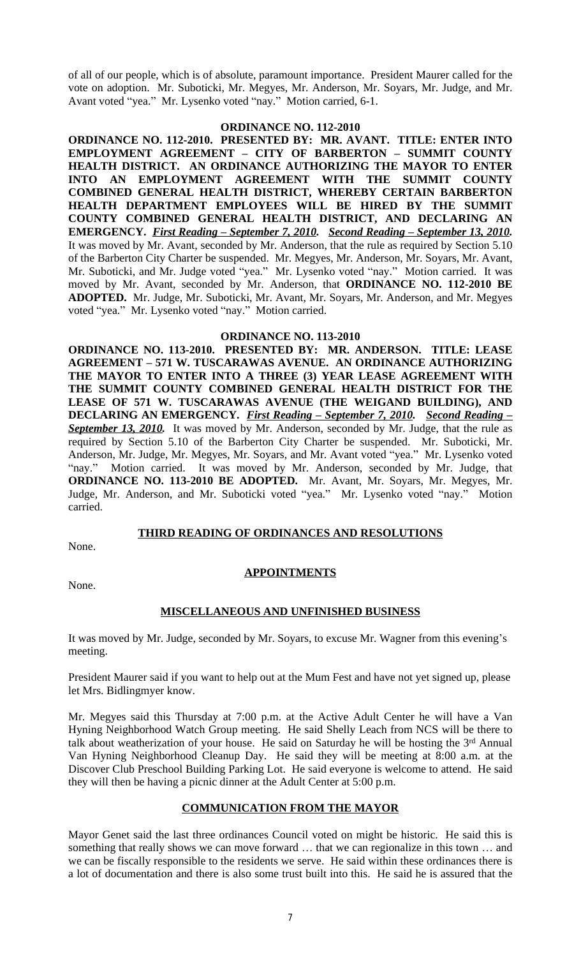of all of our people, which is of absolute, paramount importance. President Maurer called for the vote on adoption. Mr. Suboticki, Mr. Megyes, Mr. Anderson, Mr. Soyars, Mr. Judge, and Mr. Avant voted "yea." Mr. Lysenko voted "nay." Motion carried, 6-1.

## **ORDINANCE NO. 112-2010**

**ORDINANCE NO. 112-2010. PRESENTED BY: MR. AVANT. TITLE: ENTER INTO EMPLOYMENT AGREEMENT – CITY OF BARBERTON – SUMMIT COUNTY HEALTH DISTRICT. AN ORDINANCE AUTHORIZING THE MAYOR TO ENTER INTO AN EMPLOYMENT AGREEMENT WITH THE SUMMIT COUNTY COMBINED GENERAL HEALTH DISTRICT, WHEREBY CERTAIN BARBERTON HEALTH DEPARTMENT EMPLOYEES WILL BE HIRED BY THE SUMMIT COUNTY COMBINED GENERAL HEALTH DISTRICT, AND DECLARING AN EMERGENCY.** *First Reading – September 7, 2010. Second Reading – September 13, 2010.* It was moved by Mr. Avant, seconded by Mr. Anderson, that the rule as required by Section 5.10 of the Barberton City Charter be suspended. Mr. Megyes, Mr. Anderson, Mr. Soyars, Mr. Avant, Mr. Suboticki, and Mr. Judge voted "yea." Mr. Lysenko voted "nay." Motion carried. It was moved by Mr. Avant, seconded by Mr. Anderson, that **ORDINANCE NO. 112-2010 BE ADOPTED.** Mr. Judge, Mr. Suboticki, Mr. Avant, Mr. Soyars, Mr. Anderson, and Mr. Megyes voted "yea." Mr. Lysenko voted "nay." Motion carried.

## **ORDINANCE NO. 113-2010**

**ORDINANCE NO. 113-2010. PRESENTED BY: MR. ANDERSON. TITLE: LEASE AGREEMENT – 571 W. TUSCARAWAS AVENUE. AN ORDINANCE AUTHORIZING THE MAYOR TO ENTER INTO A THREE (3) YEAR LEASE AGREEMENT WITH THE SUMMIT COUNTY COMBINED GENERAL HEALTH DISTRICT FOR THE LEASE OF 571 W. TUSCARAWAS AVENUE (THE WEIGAND BUILDING), AND DECLARING AN EMERGENCY.** *First Reading – September 7, 2010. Second Reading –* **September 13, 2010.** It was moved by Mr. Anderson, seconded by Mr. Judge, that the rule as required by Section 5.10 of the Barberton City Charter be suspended. Mr. Suboticki, Mr. Anderson, Mr. Judge, Mr. Megyes, Mr. Soyars, and Mr. Avant voted "yea." Mr. Lysenko voted "nay." Motion carried. It was moved by Mr. Anderson, seconded by Mr. Judge, that **ORDINANCE NO. 113-2010 BE ADOPTED.** Mr. Avant, Mr. Soyars, Mr. Megyes, Mr. Judge, Mr. Anderson, and Mr. Suboticki voted "yea." Mr. Lysenko voted "nay." Motion carried.

## **THIRD READING OF ORDINANCES AND RESOLUTIONS**

None.

## **APPOINTMENTS**

None.

## **MISCELLANEOUS AND UNFINISHED BUSINESS**

It was moved by Mr. Judge, seconded by Mr. Soyars, to excuse Mr. Wagner from this evening's meeting.

President Maurer said if you want to help out at the Mum Fest and have not yet signed up, please let Mrs. Bidlingmyer know.

Mr. Megyes said this Thursday at 7:00 p.m. at the Active Adult Center he will have a Van Hyning Neighborhood Watch Group meeting. He said Shelly Leach from NCS will be there to talk about weatherization of your house. He said on Saturday he will be hosting the 3<sup>rd</sup> Annual Van Hyning Neighborhood Cleanup Day. He said they will be meeting at 8:00 a.m. at the Discover Club Preschool Building Parking Lot. He said everyone is welcome to attend. He said they will then be having a picnic dinner at the Adult Center at 5:00 p.m.

## **COMMUNICATION FROM THE MAYOR**

Mayor Genet said the last three ordinances Council voted on might be historic. He said this is something that really shows we can move forward … that we can regionalize in this town … and we can be fiscally responsible to the residents we serve. He said within these ordinances there is a lot of documentation and there is also some trust built into this. He said he is assured that the